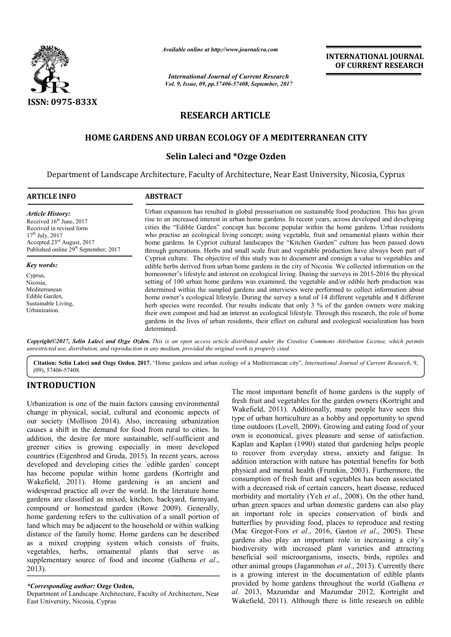

*Available online at http://www.journal http://www.journalcra.com*

*International Journal of Current Research Vol. 9, Issue, 09, pp.57406-57408, September, 2017* **INTERNATIONAL JOURNAL OF CURRENT RESEARCH** 

# **RESEARCH ARTICLE**

# **HOME GARDENS AND URBAN ECOLOGY OF A MEDITERRANEAN CITY**

# **Selin Laleci and \*Ozge Ozden**

Department of Landscape Architecture, Faculty of Architecture, Near East University, Nicosia, Cyprus Nicosia,

| <b>ARTICLE INFO</b>                                                                                                                                                                                             | <b>ABSTRACT</b>                                                                                                                                                                                                                                                                                                                                                                                                                                                                                                                                                                                                                                                                                                                                               |  |  |
|-----------------------------------------------------------------------------------------------------------------------------------------------------------------------------------------------------------------|---------------------------------------------------------------------------------------------------------------------------------------------------------------------------------------------------------------------------------------------------------------------------------------------------------------------------------------------------------------------------------------------------------------------------------------------------------------------------------------------------------------------------------------------------------------------------------------------------------------------------------------------------------------------------------------------------------------------------------------------------------------|--|--|
| <b>Article History:</b><br>Received 16 <sup>th</sup> June, 2017<br>Received in revised form<br>$17th$ July, 2017<br>Accepted 23 <sup>rd</sup> August, 2017<br>Published online 29 <sup>th</sup> September, 2017 | Urban expansion has resulted in global pressurisation on sustainable food production. This has given<br>rise to an increased interest in urban home gardens. In recent years, across developed and developing<br>cities the "Edible Garden" concept has become popular within the home gardens. Urban residents<br>who practise an ecological living concept; using vegetable, fruit and ornamental plants within their<br>home gardens. In Cypriot cultural landscapes the "Kitchen Garden" culture has been passed down<br>through generations. Herbs and small scale fruit and vegetable production have always been part of                                                                                                                               |  |  |
| Key words:                                                                                                                                                                                                      | Cypriot culture. The objective of this study was to document and consign a value to vegetables and<br>edible herbs derived from urban home gardens in the city of Nicosia. We collected information on the                                                                                                                                                                                                                                                                                                                                                                                                                                                                                                                                                    |  |  |
| Cyprus,<br>Nicosia.<br>Mediterranean<br>Edible Garden.<br>Sustainable Living.<br>Urbanization.                                                                                                                  | homeowner's lifestyle and interest on ecological living. During the surveys in 2015-2016 the physical<br>setting of 100 urban home gardens was examined, the vegetable and/or edible herb production was<br>determined within the sampled gardens and interviews were performed to collect information about<br>home owner's ecological lifestyle. During the survey a total of 14 different vegetable and 8 different<br>herb species were recorded. Our results indicate that only 3 % of the garden owners were making<br>their own compost and had an interest an ecological lifestyle. Through this research, the role of home<br>gardens in the lives of urban residents, their effect on cultural and ecological socialization has been<br>determined. |  |  |

*Copyright©2017, Selin Laleci and Ozge Ozden. This is an open access article distributed under the Creative Commons Att is under Creative Attribution License, which permits unrestricted use, distribution, and reproduction in any medium, provided the original work is properly cited.*

Citation: Selin Laleci and Ozge Ozden, 2017. "Home gardens and urban ecology of a Mediterranean city", *International Journal of Current Research*, 9, (09), 57406-57408.

# **INTRODUCTION**

Urbanization is one of the main factors causing environmental change in physical, social, cultural and economic aspects of our society (Mollison 2014). Also, increasing urbanization causes a shift in the demand for food from rural to cities. In addition, the desire for more sustainable, self self-sufficient and greener cities is growing especially in more developed countries (Eigenbrod and Gruda, 2015). In recent years, across developed and developing cities the `edible garden` concept has become popular within home gardens (Kortright and Wakefield, 2011). Home gardening is an ancient and widespread practice all over the world. In the literature home gardens are classified as mixed, kitchen, backyard, farmyard, compound or homestead garden (Rowe 2009). Generally, home gardening refers to the cultivation of a small portion of land which may be adjacent to the household or within walking distance of the family home. Home gardens can be described as a mixed cropping system which consists of fruits, vegetables, herbs, ornamental plants that serve as supplementary source of food and income (Galhena *et al.*, 2013). gardening refers to the cultivation of a small portion of<br>hich may be adjacent to the household or within walking<br>be of the family home. Home gardens can be described<br>mixed cropping system which consists of fruits,<br>bles, h

# *\*Corresponding author:* **Ozge Ozden,**

Department of Landscape Architecture, Faculty of Architecture, Near East University, Nicosia, Cyprus

The most important benefit of home gardens is the supply of fresh fruit and vegetables for the garden owners (Kortright and Wakefield, 2011). Additionally, many people have seen this type of urban horticulture as a hobby and opportunity to spend time outdoors (Lovell, 2009). Growing and eating food of your own is economical, gives pleasure and sense of satisfaction. Kaplan and Kaplan (1990) stated that gardening helps people to recover from everyday stress, anxiety and fatigue. In addition interaction with nature has potential benefits for both physical and mental health (Frumkin, 2003). Furthermore, the consumption of fresh fruit and vegetables has been associated with a decreased risk of certain cancers, heart disease, reduced morbidity and mortality (Yeh et al., 2008). On the other hand, urban green spaces and urban domestic gardens can also play an important role in species conservation of birds and an important role in species conservation of birds and butterflies by providing food, places to reproduce and resting (Mac Gregor-Fors *et al*., 2016, Gaston *et al*., 2005). These gardens also play an important role in increasing a city's biodiversity with increased plant varieties and attracting biodiversity with increased plant varieties and attracting<br>beneficial soil microorganisms, insects, birds, reptiles and other animal groups (Jaganmohan *et al*., 2013). Currently there is a growing interest in the documentation of edible plants provided by home gardens throughout the world (Galhena et *al*. 2013, Mazumdar and Mazumdar 2012, Kortright and Wakefield, 2011). Although there is little research on edible fresh fruit and vegetables for the garden owners (Kortright and Wakefield, 2011). Additionally, many people have seen this type of urban horticulture as a hobby and opportunity to spend time outdoors (Lovell, 2009). Growin **INTERNATIONAL JOURNAL OF CURRENT RESEARCH OF CURRENT RESEARCH (IT AND ALL ASSEMINAT ASSEMINAT AND ALL ASSEMINAT AND ALL ASSEMINATE INTO A STATE THE RESEARCH IS an anomore and Alt and Alt and Alt and Alt and Alt and Alt a**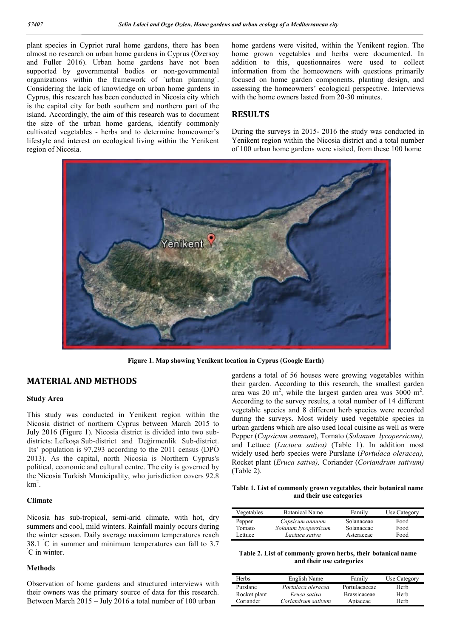plant species in Cypriot rural home gardens, there has been almost no research on urban home gardens in Cyprus (Özersoy and Fuller 2016). Urban home gardens have not been supported by governmental bodies or non-governmental organizations within the framework of `urban planning`. Considering the lack of knowledge on urban home gardens in Cyprus, this research has been conducted in Nicosia city which is the capital city for both southern and northern part of the island. Accordingly, the aim of this research was to document the size of the urban home gardens, identify commonly cultivated vegetables - herbs and to determine homeowner's lifestyle and interest on ecological living within the Yenikent region of Nicosia.

home gardens were visited, within the Yenikent region. The home grown vegetables and herbs were documented. In addition to this, questionnaires were used to collect information from the homeowners with questions primarily focused on home garden components, planting design, and assessing the homeowners' ecological perspective. Interviews with the home owners lasted from 20-30 minutes.

### **RESULTS**

During the surveys in 2015- 2016 the study was conducted in Yenikent region within the Nicosia district and a total number of 100 urban home gardens were visited, from these 100 home



**Figure 1. Map showing Yenikent location in Cyprus (Google Earth)**

### **MATERIAL AND METHODS**

#### **Study Area**

This study was conducted in Yenikent region within the Nicosia district of northern Cyprus between March 2015 to July 2016 (Figure 1). Nicosia district is divided into two subdistricts: Lefkoşa Sub-district and Değirmenlik Sub-district. Its' population is 97,293 according to the 2011 census (DPÖ 2013). As the capital, north Nicosia is Northern Cyprus's political, economic and cultural centre. The city is governed by the Nicosia Turkish Municipality, who jurisdiction covers 92.8  $km<sup>2</sup>$ .

### **Climate**

Nicosia has sub-tropical, semi-arid climate, with hot, dry summers and cool, mild winters. Rainfall mainly occurs during the winter season. Daily average maximum temperatures reach  $38.1 \text{ °C}$  in summer and minimum temperatures can fall to 3.7  $\text{°C}$  in winter C in winter.

### **Methods**

Observation of home gardens and structured interviews with their owners was the primary source of data for this research. Between March 2015 – July 2016 a total number of 100 urban

gardens a total of 56 houses were growing vegetables within their garden. According to this research, the smallest garden area was 20 m<sup>2</sup>, while the largest garden area was 3000 m<sup>2</sup>. According to the survey results, a total number of 14 different vegetable species and 8 different herb species were recorded during the surveys. Most widely used vegetable species in urban gardens which are also used local cuisine as well as were Pepper (*Capsicum annuum*), Tomato (*Solanum lycopersicum),*  and Lettuce (*Lactuca sativa)* (Table 1). In addition most widely used herb species were Purslane (*Portulaca oleracea),*  Rocket plant (*Eruca sativa),* Coriander (*Coriandrum sativum)*  (Table 2).

**Table 1. List of commonly grown vegetables, their botanical name and their use categories**

| Vegetables | <b>Botanical Name</b> | Family     | Use Category |
|------------|-----------------------|------------|--------------|
| Pepper     | Capsicum annuum       | Solanaceae | Food         |
| Tomato     | Solanum lycopersicum  | Solanaceae | Food         |
| Lettuce    | Lactuca sativa        | Asteraceae | Food         |

| Table 2. List of commonly grown herbs, their botanical name |  |  |  |  |  |
|-------------------------------------------------------------|--|--|--|--|--|
| and their use categories                                    |  |  |  |  |  |

| Herbs        | English Name       | Family              | Use Category |
|--------------|--------------------|---------------------|--------------|
| Purslane     | Portulaca oleracea | Portulacaceae       | Herb         |
| Rocket plant | Eruca sativa       | <b>Brassicaceae</b> | Herb         |
| Coriander    | Coriandrum sativum | Apiaceae            | Herb         |